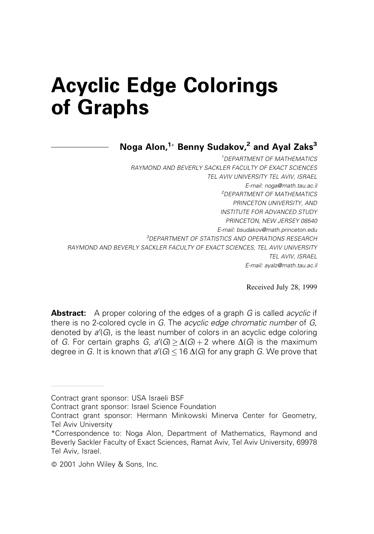# Acyclic Edge Colorings of Graphs

Noga Alon, $1*$  Benny Sudakov,<sup>2</sup> and Ayal Zaks<sup>3</sup>

<sup>1</sup>DEPARTMENT OF MATHEMATICS RAYMOND AND BEVERLY SACKLER FACULTY OF EXACT SCIENCES TEL AVIV UNIVERSITY TEL AVIV, ISRAEL E-mail: noga@math.tau.ac.il <sup>2</sup>DEPARTMENT OF MATHEMATICS PRINCETON UNIVERSITY, AND INSTITUTE FOR ADVANCED STUDY PRINCETON, NEW JERSEY 08540 E-mail: bsudakov@math.princeton.edu <sup>3</sup>DEPARTMENT OF STATISTICS AND OPERATIONS RESEARCH RAYMOND AND BEVERLY SACKLER FACULTY OF EXACT SCIENCES, TEL AVIV UNIVERSITY TEL AVIV, ISRAEL E-mail: ayalz@math.tau.ac.il

Received July 28, 1999

**Abstract:** A proper coloring of the edges of a graph G is called *acyclic* if there is no 2-colored cycle in G. The acyclic edge chromatic number of G, denoted by a'(G), is the least number of colors in an acyclic edge coloring of G. For certain graphs G,  $a'(G) \ge \Delta(G) + 2$  where  $\Delta(G)$  is the maximum degree in  $G$ . It is known that  $a'(G)$   $\leq$  16  $\Delta(G)$  for any graph  $G$ . We prove that

Contract grant sponsor: USA Israeli BSF

ÐÐÐÐÐÐÐÐÐÐÐÐÐÐÐÐÐÐ

Contract grant sponsor: Israel Science Foundation

Contract grant sponsor: Hermann Minkowski Minerva Center for Geometry, Tel Aviv University

<sup>\*</sup>Correspondence to: Noga Alon, Department of Mathematics, Raymond and Beverly Sackler Faculty of Exact Sciences, Ramat Aviv, Tel Aviv University, 69978 Tel Aviv, Israel.

ß 2001 John Wiley & Sons, Inc.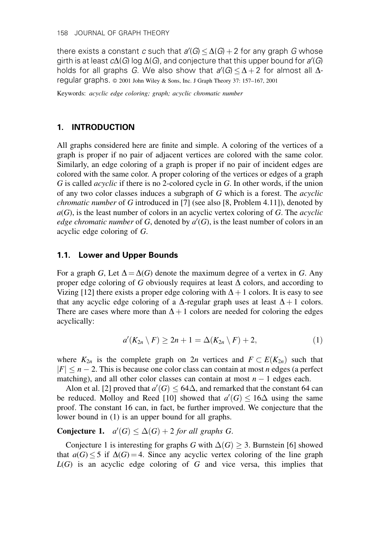there exists a constant  $c$  such that  $a'(G)$   $\leq$   $\Delta(G)+2$  for any graph  $G$  whose girth is at least  $c\Delta(G)$  log  $\Delta(G)$ , and conjecture that this upper bound for  $a'(G)$ holds for all graphs G. We also show that  $a'(G) \leq \Delta + 2$  for almost all  $\Delta$ regular graphs.  $\circ$  2001 John Wiley & Sons, Inc. J Graph Theory 37: 157-167, 2001

Keywords: acyclic edge coloring; graph; acyclic chromatic number

### 1. INTRODUCTION

All graphs considered here are finite and simple. A coloring of the vertices of a graph is proper if no pair of adjacent vertices are colored with the same color. Similarly, an edge coloring of a graph is proper if no pair of incident edges are colored with the same color. A proper coloring of the vertices or edges of a graph G is called acyclic if there is no 2-colored cycle in G. In other words, if the union of any two color classes induces a subgraph of  $G$  which is a forest. The *acyclic chromatic number* of G introduced in [7] (see also [8, Problem 4.11]), denoted by  $a(G)$ , is the least number of colors in an acyclic vertex coloring of G. The *acyclic* edge chromatic number of G, denoted by  $a'(G)$ , is the least number of colors in an acyclic edge coloring of G.

#### 1.1. Lower and Upper Bounds

For a graph G, Let  $\Delta = \Delta(G)$  denote the maximum degree of a vertex in G. Any proper edge coloring of G obviously requires at least  $\Delta$  colors, and according to Vizing [12] there exists a proper edge coloring with  $\Delta + 1$  colors. It is easy to see that any acyclic edge coloring of a  $\Delta$ -regular graph uses at least  $\Delta + 1$  colors. There are cases where more than  $\Delta + 1$  colors are needed for coloring the edges acyclically:

$$
a'(K_{2n} \setminus F) \ge 2n + 1 = \Delta(K_{2n} \setminus F) + 2, \tag{1}
$$

where  $K_{2n}$  is the complete graph on  $2n$  vertices and  $F \subset E(K_{2n})$  such that  $|F| \le n - 2$ . This is because one color class can contain at most n edges (a perfect matching), and all other color classes can contain at most  $n - 1$  edges each.

Alon et al. [2] proved that  $a'(G) \leq 64\Delta$ , and remarked that the constant 64 can be reduced. Molloy and Reed [10] showed that  $a'(G) \le 16\Delta$  using the same proof. The constant 16 can, in fact, be further improved. We conjecture that the lower bound in (1) is an upper bound for all graphs.

## **Conjecture 1.**  $a'(G) \leq \Delta(G) + 2$  for all graphs G.

Conjecture 1 is interesting for graphs G with  $\Delta(G) \geq 3$ . Burnstein [6] showed that  $a(G) \le 5$  if  $\Delta(G) = 4$ . Since any acyclic vertex coloring of the line graph  $L(G)$  is an acyclic edge coloring of G and vice versa, this implies that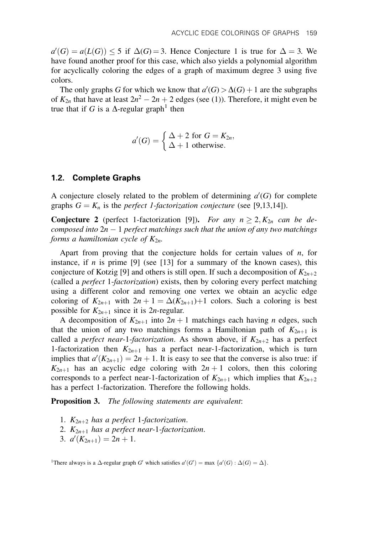$a'(G) = a(L(G)) \le 5$  if  $\Delta(G) = 3$ . Hence Conjecture 1 is true for  $\Delta = 3$ . We have found another proof for this case, which also yields a polynomial algorithm for acyclically coloring the edges of a graph of maximum degree  $\beta$  using five colors.

The only graphs G for which we know that  $a'(G) > \Delta(G) + 1$  are the subgraphs of  $K_{2n}$  that have at least  $2n^2 - 2n + 2$  edges (see (1)). Therefore, it might even be true that if G is a  $\Delta$ -regular graph<sup>1</sup> then

$$
a'(G) = \begin{cases} \Delta + 2 \text{ for } G = K_{2n}, \\ \Delta + 1 \text{ otherwise.} \end{cases}
$$

#### 1.2. Complete Graphs

A conjecture closely related to the problem of determining  $a'(G)$  for complete graphs  $G = K_n$  is the *perfect 1-factorization conjecture* (see [9,13,14]).

**Conjecture 2** (perfect 1-factorization [9]). For any  $n \ge 2$ ,  $K_{2n}$  can be decomposed into  $2n - 1$  perfect matchings such that the union of any two matchings forms a hamiltonian cycle of  $K_{2n}$ .

Apart from proving that the conjecture holds for certain values of  $n$ , for instance, if  $n$  is prime [9] (see [13] for a summary of the known cases), this conjecture of Kotzig [9] and others is still open. If such a decomposition of  $K_{2n+2}$ (called a perfect 1-factorization) exists, then by coloring every perfect matching using a different color and removing one vertex we obtain an acyclic edge coloring of  $K_{2n+1}$  with  $2n + 1 = \Delta(K_{2n+1})+1$  colors. Such a coloring is best possible for  $K_{2n+1}$  since it is 2n-regular.

A decomposition of  $K_{2n+1}$  into  $2n + 1$  matchings each having *n* edges, such that the union of any two matchings forms a Hamiltonian path of  $K_{2n+1}$  is called a *perfect near-1-factorization*. As shown above, if  $K_{2n+2}$  has a perfect 1-factorization then  $K_{2n+1}$  has a perfact near-1-factorization, which is turn implies that  $a'(K_{2n+1}) = 2n + 1$ . It is easy to see that the converse is also true: if  $K_{2n+1}$  has an acyclic edge coloring with  $2n+1$  colors, then this coloring corresponds to a perfect near-1-factorization of  $K_{2n+1}$  which implies that  $K_{2n+2}$ has a perfect 1-factorization. Therefore the following holds.

**Proposition 3.** The following statements are equivalent:

- 1.  $K_{2n+2}$  has a perfect 1-factorization.
- 2.  $K_{2n+1}$  has a perfect near-1-factorization.
- 3.  $a'(K_{2n+1}) = 2n + 1$ .

<sup>1</sup>There always is a  $\Delta$ -regular graph G' which satisfies  $a'(G') = \max \{a'(G) : \Delta(G) = \Delta\}.$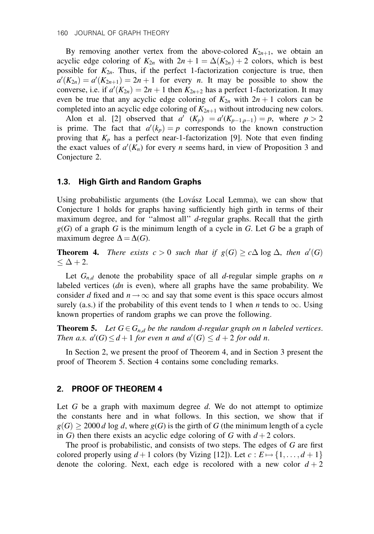By removing another vertex from the above-colored  $K_{2n+1}$ , we obtain an acyclic edge coloring of  $K_{2n}$  with  $2n + 1 = \Delta(K_{2n}) + 2$  colors, which is best possible for  $K_{2n}$ . Thus, if the perfect 1-factorization conjecture is true, then  $a'(K_{2n}) = a'(K_{2n+1}) = 2n+1$  for every n. It may be possible to show the converse, i.e. if  $a'(K_{2n}) = 2n + 1$  then  $K_{2n+2}$  has a perfect 1-factorization. It may even be true that any acyclic edge coloring of  $K_{2n}$  with  $2n + 1$  colors can be completed into an acyclic edge coloring of  $K_{2n+1}$  without introducing new colors.

Alon et al. [2] observed that  $a'(K_p) = a'(K_{p-1,p-1}) = p$ , where  $p > 2$ is prime. The fact that  $a'(k_p) = p$  corresponds to the known construction proving that  $K_p$  has a perfect near-1-factorization [9]. Note that even finding the exact values of  $a'(K_n)$  for every *n* seems hard, in view of Proposition 3 and Conjecture 2.

#### 1.3. High Girth and Random Graphs

Using probabilistic arguments (the Lovász Local Lemma), we can show that Conjecture 1 holds for graphs having sufficiently high girth in terms of their maximum degree, and for "almost all"  $d$ -regular graphs. Recall that the girth  $g(G)$  of a graph G is the minimum length of a cycle in G. Let G be a graph of maximum degree  $\Delta = \Delta(G)$ .

**Theorem 4.** There exists  $c > 0$  such that if  $g(G) \geq c\Delta \log \Delta$ , then  $a'(G)$  $\leq \Delta+2$ .

Let  $G_{n,d}$  denote the probability space of all d-regular simple graphs on n labeled vertices  $(dn)$  is even), where all graphs have the same probability. We consider d fixed and  $n \rightarrow \infty$  and say that some event is this space occurs almost surely (a.s.) if the probability of this event tends to 1 when *n* tends to  $\infty$ . Using known properties of random graphs we can prove the following.

**Theorem 5.** Let  $G \in G_{n,d}$  be the random d-regular graph on n labeled vertices. Then a.s.  $a'(G) \leq d+1$  for even n and  $a'(G) \leq d+2$  for odd n.

In Section 2, we present the proof of Theorem 4, and in Section 3 present the proof of Theorem 5. Section 4 contains some concluding remarks.

#### 2. PROOF OF THEOREM 4

Let  $G$  be a graph with maximum degree  $d$ . We do not attempt to optimize the constants here and in what follows. In this section, we show that if  $g(G) \ge 2000 d \log d$ , where  $g(G)$  is the girth of G (the minimum length of a cycle in G) then there exists an acyclic edge coloring of G with  $d+2$  colors.

The proof is probabilistic, and consists of two steps. The edges of  $G$  are first colored properly using  $d+1$  colors (by Vizing [12]). Let  $c : E \mapsto \{1, \ldots, d+1\}$ denote the coloring. Next, each edge is recolored with a new color  $d + 2$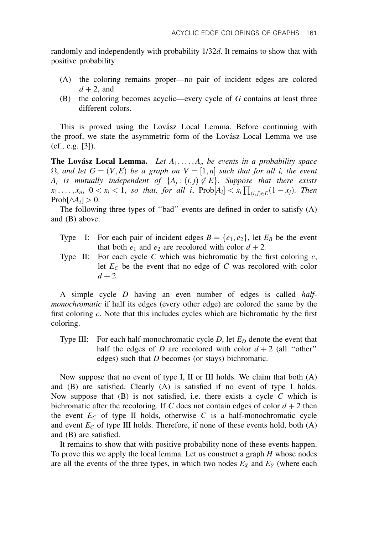randomly and independently with probability 1/32d. It remains to show that with positive probability

- (A) the coloring remains proper—no pair of incident edges are colored  $d + 2$ , and
- (B) the coloring becomes acyclic—every cycle of  $G$  contains at least three different colors.

This is proved using the Lovász Local Lemma. Before continuing with the proof, we state the asymmetric form of the Lovász Local Lemma we use (cf., e.g. [3]).

**The Lovász Local Lemma.** Let  $A_1, \ldots, A_n$  be events in a probability space  $\Omega$ , and let  $G = (V, E)$  be a graph on  $V = [1, n]$  such that for all i, the event  $A_i$  is mutually independent of  $\{A_i : (i,j) \notin E\}$ . Suppose that there exists  $x_1, \ldots, x_n$ ,  $0 < x_i < 1$ , so that, for all i,  $\text{Prob}[A_i] < x_i \prod_{(i,j) \in E} (1-x_j)$ . Then  $Prob[\wedge \overline{A}_i] > 0.$ 

The following three types of "bad" events are defined in order to satisfy  $(A)$ and (B) above.

- Type I: For each pair of incident edges  $B = \{e_1, e_2\}$ , let  $E_B$  be the event that both  $e_1$  and  $e_2$  are recolored with color  $d + 2$ .
- Type II: For each cycle C which was bichromatic by the first coloring  $c$ , let  $E_C$  be the event that no edge of C was recolored with color  $d+2$ .

A simple cycle D having an even number of edges is called halfmonochromatic if half its edges (every other edge) are colored the same by the first coloring  $c$ . Note that this includes cycles which are bichromatic by the first coloring.

Type III: For each half-monochromatic cycle  $D$ , let  $E_D$  denote the event that half the edges of D are recolored with color  $d + 2$  (all "other" edges) such that  $D$  becomes (or stays) bichromatic.

Now suppose that no event of type I, II or III holds. We claim that both (A) and (B) are satisfied. Clearly (A) is satisfied if no event of type I holds. Now suppose that  $(B)$  is not satisfied, i.e. there exists a cycle C which is bichromatic after the recoloring. If C does not contain edges of color  $d + 2$  then the event  $E_C$  of type II holds, otherwise C is a half-monochromatic cycle and event  $E_C$  of type III holds. Therefore, if none of these events hold, both  $(A)$ and (B) are satisfied.

It remains to show that with positive probability none of these events happen. To prove this we apply the local lemma. Let us construct a graph  $H$  whose nodes are all the events of the three types, in which two nodes  $E_X$  and  $E_Y$  (where each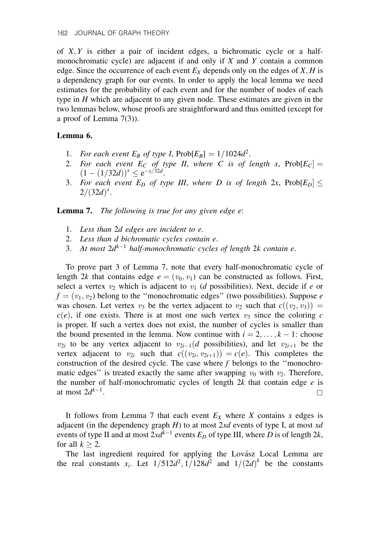of  $X, Y$  is either a pair of incident edges, a bichromatic cycle or a halfmonochromatic cycle) are adjacent if and only if X and Y contain a common edge. Since the occurrence of each event  $E_X$  depends only on the edges of  $X, H$  is a dependency graph for our events. In order to apply the local lemma we need estimates for the probability of each event and for the number of nodes of each type in  $H$  which are adjacent to any given node. These estimates are given in the two lemmas below, whose proofs are straightforward and thus omitted (except for a proof of Lemma 7(3)).

#### Lemma 6.

- 1. For each event  $E_B$  of type I,  $\text{Prob}[E_B] = 1/1024d^2$ .
- 2. For each event  $E_C$  of type II, where C is of length x,  $Prob[E_C] =$  $(1 - (1/32d))^x \le e^{-x/32d}.$
- 3. For each event  $E_D$  of type III, where D is of length 2x, Prob $[E_D] \leq$  $2/(32d)^{x}$ .

Lemma 7. The following is true for any given edge e:

- 1. Less than 2d edges are incident to e.
- 2. Less than d bichromatic cycles contain e.
- 3. At most  $2d^{k-1}$  half-monochromatic cycles of length 2k contain e.

To prove part 3 of Lemma 7, note that every half-monochromatic cycle of length 2k that contains edge  $e = (v_0, v_1)$  can be constructed as follows. First, select a vertex  $v_2$  which is adjacent to  $v_1$  (d possibilities). Next, decide if e or  $f = (v_1, v_2)$  belong to the "monochromatic edges" (two possibilities). Suppose e was chosen. Let vertex  $v_3$  be the vertex adjacent to  $v_2$  such that  $c((v_2, v_3)) =$  $c(e)$ , if one exists. There is at most one such vertex  $v_3$  since the coloring c is proper. If such a vertex does not exist, the number of cycles is smaller than the bound presented in the lemma. Now continue with  $i = 2, \ldots, k - 1$ : choose  $v_{2i}$  to be any vertex adjacent to  $v_{2i-1}(d)$  possibilities), and let  $v_{2i+1}$  be the vertex adjacent to  $v_{2i}$  such that  $c((v_{2i}, v_{2i+1})) = c(e)$ . This completes the construction of the desired cycle. The case where  $f$  belongs to the "monochromatic edges" is treated exactly the same after swapping  $v_0$  with  $v_2$ . Therefore, the number of half-monochromatic cycles of length  $2k$  that contain edge  $e$  is at most  $2d^{k-1}$ .

It follows from Lemma 7 that each event  $E_X$  where X contains x edges is adjacent (in the dependency graph  $H$ ) to at most  $2xd$  events of type I, at most  $xd$ events of type II and at most  $2xd^{k-1}$  events  $E_D$  of type III, where D is of length 2k, for all  $k \geq 2$ .

The last ingredient required for applying the Lovász Local Lemma are the real constants  $x_i$ . Let  $1/512d^2$ ,  $1/128d^2$  and  $1/(2d)^k$  be the constants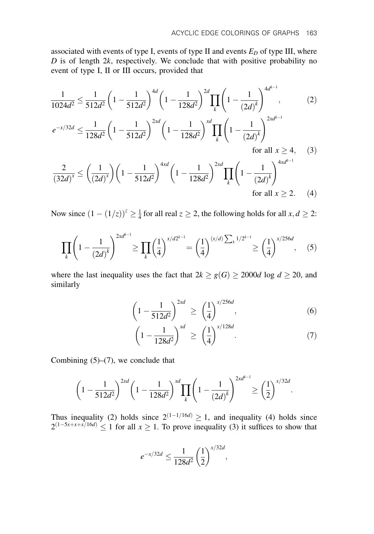associated with events of type I, events of type II and events  $E_D$  of type III, where  $D$  is of length  $2k$ , respectively. We conclude that with positive probability no event of type I, II or III occurs, provided that

$$
\frac{1}{1024d^2} \le \frac{1}{512d^2} \left( 1 - \frac{1}{512d^2} \right)^{4d} \left( 1 - \frac{1}{128d^2} \right)^{2d} \prod_k \left( 1 - \frac{1}{(2d)^k} \right)^{4d^{k-1}},\tag{2}
$$
\n
$$
e^{-x/32d} \le \frac{1}{128d^2} \left( 1 - \frac{1}{512d^2} \right)^{2xd} \left( 1 - \frac{1}{128d^2} \right)^{xd} \prod_k \left( 1 - \frac{1}{(2d)^k} \right)^{2xd^{k-1}}
$$
\nfor all  $x \ge 4$ ,

\n(3)

$$
\frac{2}{(32d)^{x}} \le \left(\frac{1}{(2d)^{x}}\right) \left(1 - \frac{1}{512d^{2}}\right)^{4xd} \left(1 - \frac{1}{128d^{2}}\right)^{2xd} \prod_{k} \left(1 - \frac{1}{(2d)^{k}}\right)^{4xd^{k-1}}
$$
  
for all  $x \ge 2$ . (4)

Now since  $(1 - (1/z))^z \ge \frac{1}{4}$  for all real  $z \ge 2$ , the following holds for all  $x, d \ge 2$ :

$$
\prod_{k} \left(1 - \frac{1}{(2d)^{k}}\right)^{2xd^{k-1}} \ge \prod_{k} \left(\frac{1}{4}\right)^{x/d2^{k-1}} = \left(\frac{1}{4}\right)^{(x/d)\sum_{k} 1/2^{k-1}} \ge \left(\frac{1}{4}\right)^{x/256d}, \quad (5)
$$

where the last inequality uses the fact that  $2k \ge g(G) \ge 2000d \log d \ge 20$ , and similarly

$$
\left(1 - \frac{1}{512d^2}\right)^{2xd} \ge \left(\frac{1}{4}\right)^{x/256d},\tag{6}
$$

$$
\left(1 - \frac{1}{128d^2}\right)^{xd} \ge \left(\frac{1}{4}\right)^{x/128d}.\tag{7}
$$

Combining  $(5)-(7)$ , we conclude that

$$
\left(1 - \frac{1}{512d^2}\right)^{2xd} \left(1 - \frac{1}{128d^2}\right)^{xd} \prod_k \left(1 - \frac{1}{(2d)^k}\right)^{2xd^{k-1}} \ge \left(\frac{1}{2}\right)^{x/32d}.
$$

Thus inequality (2) holds since  $2^{(1-1/16d)} \ge 1$ , and inequality (4) holds since  $2^{(1-5x+x+x/16d)} \le 1$  for all  $x \ge 1$ . To prove inequality (3) it suffices to show that

$$
e^{-x/32d} \le \frac{1}{128d^2} \left(\frac{1}{2}\right)^{x/32d},
$$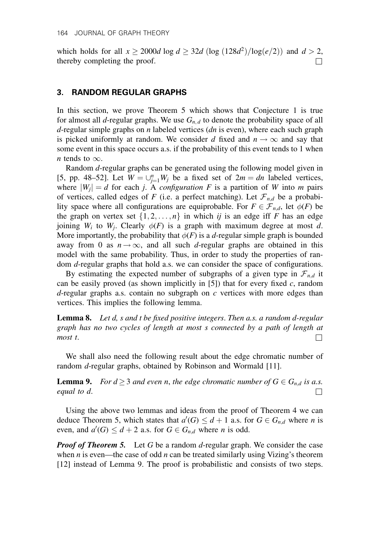which holds for all  $x \ge 2000d \log d \ge 32d (\log (128d^2)/\log(e/2))$  and  $d > 2$ , thereby completing the proof.

#### 3. RANDOM REGULAR GRAPHS

In this section, we prove Theorem 5 which shows that Conjecture 1 is true for almost all *d*-regular graphs. We use  $G_{n,d}$  to denote the probability space of all d-regular simple graphs on *n* labeled vertices  $(dn)$  is even), where each such graph is picked uniformly at random. We consider d fixed and  $n \to \infty$  and say that some event in this space occurs a.s. if the probability of this event tends to 1 when *n* tends to  $\infty$ .

Random d-regular graphs can be generated using the following model given in [5, pp. 48–52]. Let  $W = \bigcup_{j=1}^{n} W_j$  be a fixed set of  $2m = dn$  labeled vertices, where  $|W_i| = d$  for each j. A *configuration* F is a partition of W into m pairs of vertices, called edges of F (i.e. a perfect matching). Let  $\mathcal{F}_{n,d}$  be a probability space where all configurations are equiprobable. For  $F \in \mathcal{F}_{n,d}$ , let  $\phi(F)$  be the graph on vertex set  $\{1, 2, \ldots, n\}$  in which ij is an edge iff F has an edge joining  $W_i$  to  $W_j$ . Clearly  $\phi(F)$  is a graph with maximum degree at most d. More importantly, the probability that  $\phi(F)$  is a d-regular simple graph is bounded away from 0 as  $n \rightarrow \infty$ , and all such d-regular graphs are obtained in this model with the same probability. Thus, in order to study the properties of random  $d$ -regular graphs that hold a.s. we can consider the space of configurations.

By estimating the expected number of subgraphs of a given type in  $\mathcal{F}_{n,d}$  it can be easily proved (as shown implicitly in [5]) that for every fixed c, random  $d$ -regular graphs a.s. contain no subgraph on  $c$  vertices with more edges than vertices. This implies the following lemma.

**Lemma 8.** Let  $d$ ,  $s$  and  $t$  be fixed positive integers. Then  $a.s.$  a random  $d$ -regular graph has no two cycles of length at most s connected by a path of length at most t.  $\Box$ 

We shall also need the following result about the edge chromatic number of random d-regular graphs, obtained by Robinson and Wormald [11].

**Lemma 9.** For  $d \geq 3$  and even n, the edge chromatic number of  $G \in G_{n,d}$  is a.s. equal to d.

Using the above two lemmas and ideas from the proof of Theorem 4 we can deduce Theorem 5, which states that  $a'(G) \leq d+1$  a.s. for  $G \in G_{n,d}$  where *n* is even, and  $a'(G) \leq d + 2$  a.s. for  $G \in G_{n,d}$  where *n* is odd.

**Proof of Theorem 5.** Let G be a random d-regular graph. We consider the case when  $n$  is even—the case of odd  $n$  can be treated similarly using Vizing's theorem [12] instead of Lemma 9. The proof is probabilistic and consists of two steps.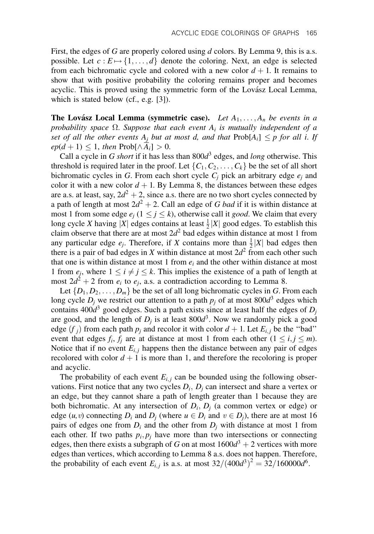First, the edges of G are properly colored using  $d$  colors. By Lemma 9, this is a.s. possible. Let  $c : E \mapsto \{1, \ldots, d\}$  denote the coloring. Next, an edge is selected from each bichromatic cycle and colored with a new color  $d + 1$ . It remains to show that with positive probability the coloring remains proper and becomes acyclic. This is proved using the symmetric form of the Lovász Local Lemma, which is stated below (cf., e.g. [3]).

**The Lovász Local Lemma (symmetric case).** Let  $A_1, \ldots, A_n$  be events in a probability space  $\Omega$ . Suppose that each event  $A_i$  is mutually independent of a set of all the other events  $A_i$  but at most d, and that  $\text{Prob}[A_i] \leq p$  for all i. If  $ep(d + 1) \leq 1$ , then Prob $[\wedge \overline{A}_i] > 0$ .

Call a cycle in G short if it has less than  $800d<sup>3</sup>$  edges, and long otherwise. This threshold is required later in the proof. Let  $\{C_1, C_2, \ldots, C_k\}$  be the set of all short bichromatic cycles in G. From each short cycle  $C_i$  pick an arbitrary edge  $e_i$  and color it with a new color  $d + 1$ . By Lemma 8, the distances between these edges are a.s. at least, say,  $2d^2 + 2$ , since a.s. there are no two short cycles connected by a path of length at most  $2d^2 + 2$ . Call an edge of G bad if it is within distance at most 1 from some edge  $e_i$  ( $1 \le j \le k$ ), otherwise call it *good*. We claim that every long cycle X having |X| edges contains at least  $\frac{1}{2}$ |X| good edges. To establish this claim observe that there are at most  $2d^2$  bad edges within distance at most 1 from any particular edge  $e_j$ . Therefore, if X contains more than  $\frac{1}{2}|X|$  bad edges then there is a pair of bad edges in X within distance at most  $2d^2$  from each other such that one is within distance at most 1 from  $e_i$  and the other within distance at most 1 from  $e_i$ , where  $1 \le i \ne j \le k$ . This implies the existence of a path of length at most  $2d^2 + 2$  from  $e_i$  to  $e_j$ , a.s. a contradiction according to Lemma 8.

Let  $\{D_1, D_2, \ldots, D_m\}$  be the set of all long bichromatic cycles in G. From each long cycle  $D_i$  we restrict our attention to a path  $p_i$  of at most 800 $d^3$  edges which contains 400 $d^3$  good edges. Such a path exists since at least half the edges of  $D_i$ are good, and the length of  $D_i$  is at least 800 $d^3$ . Now we randomly pick a good edge  $(f_i)$  from each path  $p_j$  and recolor it with color  $d + 1$ . Let  $E_{i,j}$  be the "bad" event that edges  $f_i$ ,  $f_i$  are at distance at most 1 from each other  $(1 \le i, j \le m)$ . Notice that if no event  $E_{i,j}$  happens then the distance between any pair of edges recolored with color  $d + 1$  is more than 1, and therefore the recoloring is proper and acyclic.

The probability of each event  $E_{i,j}$  can be bounded using the following observations. First notice that any two cycles  $D_i$ ,  $D_j$  can intersect and share a vertex or an edge, but they cannot share a path of length greater than 1 because they are both bichromatic. At any intersection of  $D_i$ ,  $D_i$  (a common vertex or edge) or edge  $(u, v)$  connecting  $D_i$  and  $D_j$  (where  $u \in D_i$  and  $v \in D_j$ ), there are at most 16 pairs of edges one from  $D_i$  and the other from  $D_j$  with distance at most 1 from each other. If two paths  $p_i, p_j$  have more than two intersections or connecting edges, then there exists a subgraph of G on at most  $1600d^3 + 2$  vertices with more edges than vertices, which according to Lemma 8 a.s. does not happen. Therefore, the probability of each event  $E_{i,j}$  is a.s. at most  $32/(400d^3)^2 = 32/160000d^6$ .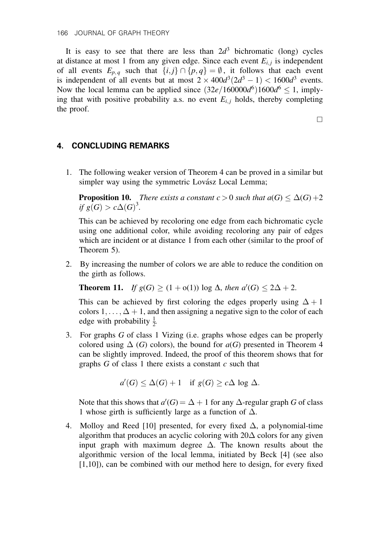It is easy to see that there are less than  $2d<sup>3</sup>$  bichromatic (long) cycles at distance at most 1 from any given edge. Since each event  $E_{i,j}$  is independent of all events  $E_{p,q}$  such that  $\{i,j\}\cap \{p,q\} = \emptyset$ , it follows that each event is independent of all events but at most  $2 \times 400d^3(2d^3 - 1) < 1600d^3$  events. Now the local lemma can be applied since  $(32e/160000d^6)1600d^6 \le 1$ , implying that with positive probability a.s. no event  $E_{i,j}$  holds, thereby completing the proof.

 $\Box$ 

### 4. CONCLUDING REMARKS

1. The following weaker version of Theorem 4 can be proved in a similar but simpler way using the symmetric Lovász Local Lemma;

**Proposition 10.** There exists a constant  $c > 0$  such that  $a(G) \leq \Delta(G) + 2$ if  $g(G) > c\Delta(G)^3$ .

This can be achieved by recoloring one edge from each bichromatic cycle using one additional color, while avoiding recoloring any pair of edges which are incident or at distance 1 from each other (similar to the proof of Theorem 5).

2. By increasing the number of colors we are able to reduce the condition on the girth as follows.

**Theorem 11.** If  $g(G) \ge (1 + o(1)) \log \Delta$ , then  $a'(G) \le 2\Delta + 2$ .

This can be achieved by first coloring the edges properly using  $\Delta + 1$ colors  $1, \ldots, \Delta + 1$ , and then assigning a negative sign to the color of each edge with probability  $\frac{1}{2}$ .

3. For graphs G of class 1 Vizing (i.e. graphs whose edges can be properly colored using  $\Delta(G)$  colors), the bound for  $a(G)$  presented in Theorem 4 can be slightly improved. Indeed, the proof of this theorem shows that for graphs  $G$  of class 1 there exists a constant  $c$  such that

$$
a'(G) \le \Delta(G) + 1 \quad \text{if } g(G) \ge c\Delta \log \Delta.
$$

Note that this shows that  $a'(G) = \Delta + 1$  for any  $\Delta$ -regular graph G of class 1 whose girth is sufficiently large as a function of  $\Delta$ .

4. Molloy and Reed [10] presented, for every fixed  $\Delta$ , a polynomial-time algorithm that produces an acyclic coloring with  $20\Delta$  colors for any given input graph with maximum degree  $\Delta$ . The known results about the algorithmic version of the local lemma, initiated by Beck [4] (see also  $[1,10]$ , can be combined with our method here to design, for every fixed